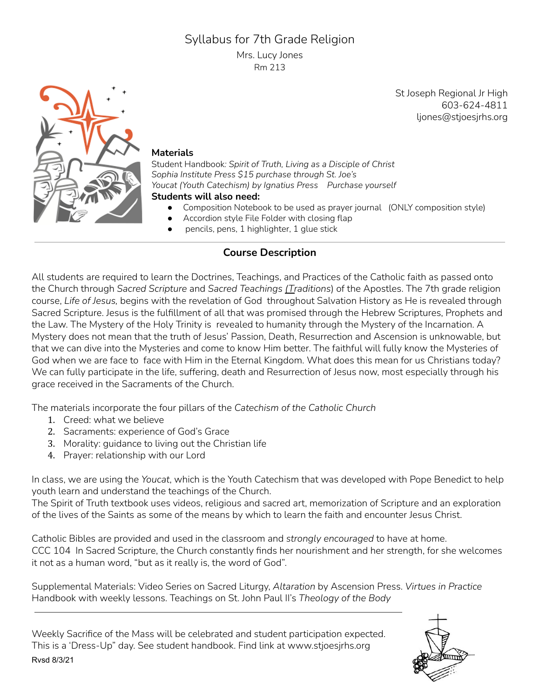# Syllabus for 7th Grade Religion

Mrs. Lucy Jones Rm 213

> St Joseph Regional Jr High 603-624-4811 ljones@stjoesjrhs.org



#### **Materials**

Student Handbook*: Spirit of Truth, Living as a Disciple of Christ Sophia Institute Press \$15 purchase through St. Joe's Youcat (Youth Catechism) by Ignatius Press Purchase yourself* **Students will also need:**

- Composition Notebook to be used as prayer journal (ONLY composition style)
- Accordion style File Folder with closing flap
- pencils, pens, 1 highlighter, 1 glue stick

## **Course Description**

All students are required to learn the Doctrines, Teachings, and Practices of the Catholic faith as passed onto the Church through *Sacred Scripture* and *Sacred Teachings (Traditions*) of the Apostles. The 7th grade religion course, *Life of Jesus,* begins with the revelation of God throughout Salvation History as He is revealed through Sacred Scripture. Jesus is the fulfillment of all that was promised through the Hebrew Scriptures, Prophets and the Law. The Mystery of the Holy Trinity is revealed to humanity through the Mystery of the Incarnation. A Mystery does not mean that the truth of Jesus' Passion, Death, Resurrection and Ascension is unknowable, but that we can dive into the Mysteries and come to know Him better. The faithful will fully know the Mysteries of God when we are face to face with Him in the Eternal Kingdom. What does this mean for us Christians today? We can fully participate in the life, suffering, death and Resurrection of Jesus now, most especially through his grace received in the Sacraments of the Church.

The materials incorporate the four pillars of the *Catechism of the Catholic Church*

- 1. Creed: what we believe
- 2. Sacraments: experience of God's Grace
- 3. Morality: guidance to living out the Christian life
- 4. Prayer: relationship with our Lord

In class, we are using the *Youcat*, which is the Youth Catechism that was developed with Pope Benedict to help youth learn and understand the teachings of the Church.

The Spirit of Truth textbook uses videos, religious and sacred art, memorization of Scripture and an exploration of the lives of the Saints as some of the means by which to learn the faith and encounter Jesus Christ.

Catholic Bibles are provided and used in the classroom and *strongly encouraged* to have at home. CCC 104 In Sacred Scripture, the Church constantly finds her nourishment and her strength, for she welcomes it not as a human word, "but as it really is, the word of God".

Supplemental Materials: Video Series on Sacred Liturgy, *Altaration* by Ascension Press. *Virtues in Practice* Handbook with weekly lessons. Teachings on St. John Paul II's *Theology of the Body*

Weekly Sacrifice of the Mass will be celebrated and student participation expected. This is a 'Dress-Up" day. See student handbook. Find link at www.stjoesjrhs.org Rvsd 8/3/21

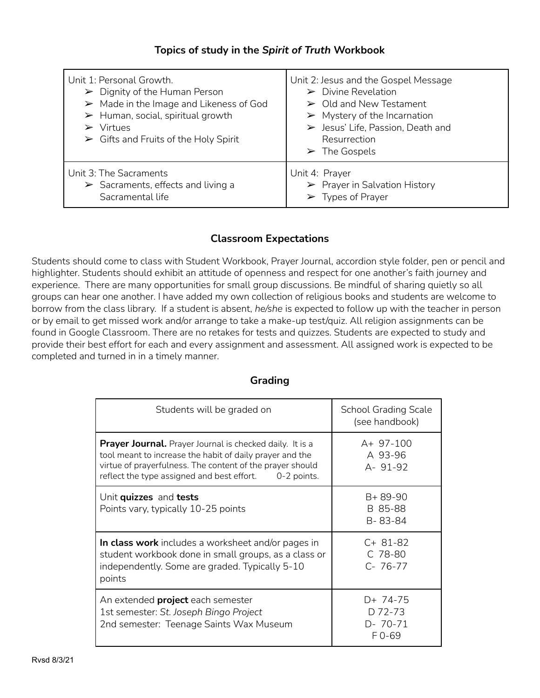#### **Topics of study in the** *Spirit of Truth* **Workbook**

| Unit 1: Personal Growth.<br>$\triangleright$ Dignity of the Human Person<br>$\triangleright$ Made in the Image and Likeness of God<br>$\triangleright$ Human, social, spiritual growth<br>Virtues<br>$\triangleright$ Gifts and Fruits of the Holy Spirit | Unit 2: Jesus and the Gospel Message<br>$\triangleright$ Divine Revelation<br>$\triangleright$ Old and New Testament<br>$\triangleright$ Mystery of the Incarnation<br>$\triangleright$ Jesus' Life, Passion, Death and<br>Resurrection<br>$\triangleright$ The Gospels |
|-----------------------------------------------------------------------------------------------------------------------------------------------------------------------------------------------------------------------------------------------------------|-------------------------------------------------------------------------------------------------------------------------------------------------------------------------------------------------------------------------------------------------------------------------|
| Unit 3: The Sacraments                                                                                                                                                                                                                                    | Unit 4: Prayer                                                                                                                                                                                                                                                          |
| $\triangleright$ Sacraments, effects and living a                                                                                                                                                                                                         | $\triangleright$ Prayer in Salvation History                                                                                                                                                                                                                            |
| Sacramental life                                                                                                                                                                                                                                          | $\triangleright$ Types of Prayer                                                                                                                                                                                                                                        |

#### **Classroom Expectations**

Students should come to class with Student Workbook, Prayer Journal, accordion style folder, pen or pencil and highlighter. Students should exhibit an attitude of openness and respect for one another's faith journey and experience. There are many opportunities for small group discussions. Be mindful of sharing quietly so all groups can hear one another. I have added my own collection of religious books and students are welcome to borrow from the class library. If a student is absent, *he/she* is expected to follow up with the teacher in person or by email to get missed work and/or arrange to take a make-up test/quiz. All religion assignments can be found in Google Classroom. There are no retakes for tests and quizzes. Students are expected to study and provide their best effort for each and every assignment and assessment. All assigned work is expected to be completed and turned in in a timely manner.

| Students will be graded on                                                                                                                                                                                                                         | <b>School Grading Scale</b><br>(see handbook) |
|----------------------------------------------------------------------------------------------------------------------------------------------------------------------------------------------------------------------------------------------------|-----------------------------------------------|
| <b>Prayer Journal.</b> Prayer Journal is checked daily. It is a<br>tool meant to increase the habit of daily prayer and the<br>virtue of prayerfulness. The content of the prayer should<br>reflect the type assigned and best effort. 0-2 points. | A+ 97-100<br>A 93-96<br>A- 91-92              |
| Unit quizzes and tests<br>Points vary, typically 10-25 points                                                                                                                                                                                      | $B + 89 - 90$<br>B 85-88<br>B-83-84           |
| In class work includes a worksheet and/or pages in<br>student workbook done in small groups, as a class or<br>independently. Some are graded. Typically 5-10<br>points                                                                             | $C+81-82$<br>C 78-80<br>$C - 76 - 77$         |
| An extended <b>project</b> each semester<br>1st semester: St. Joseph Bingo Project<br>2nd semester: Teenage Saints Wax Museum                                                                                                                      | D+ 74-75<br>D 72-73<br>$D - 70 - 71$<br>F0-69 |

#### **Grading**